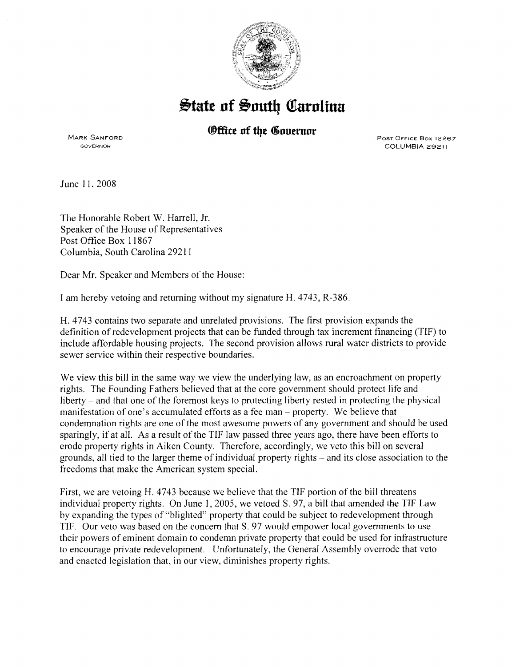

## **State of South Carolina**

## *®ffice of the Governor*

MARK SANFORD GOVERNOR

PoST OFFICE Box 12267 COLUMBIA 29211

June II, 2008

The Honorable Robert W. Harrell, Jr. Speaker of the House of Representatives Post Office Box 11867 Columbia, South Carolina 29211

Dear Mr. Speaker and Members of the House:

I am hereby vetoing and returning without my signature H. 4743, R-386.

H. 4743 contains two separate and unrelated provisions. The first provision expands the definition of redevelopment projects that can be funded through tax increment financing (TIF) to include affordable housing projects. The second provision allows rural water districts to provide sewer service within their respective boundaries.

We view this bill in the same way we view the underlying law, as an encroachment on property rights. The Founding Fathers believed that at the core government should protect life and liberty- and that one of the foremost keys to protecting liberty rested in protecting the physical manifestation of one's accumulated efforts as a fee man- property. We believe that condemnation rights are one of the most awesome powers of any government and should be used sparingly, if at all. As a result of the TIF law passed three years ago, there have been efforts to erode property rights in Aiken County. Therefore, accordingly, we veto this bill on several grounds, all tied to the larger theme of individual property rights- and its close association to the freedoms that make the American system special.

First, we are vetoing H. 4743 because we believe that the TIF portion of the bill threatens individual property rights. On June 1, 2005, we vetoed S. 97, a bill that amended the TIF Law by expanding the types of "blighted" property that could be subject to redevelopment through TIF. Our veto was based on the concern that S. 97 would empower local governments to use their powers of eminent domain to condemn private property that could be used for infrastructure to encourage private redevelopment. Unfortunately, the General Assembly overrode that veto and enacted legislation that, in our view, diminishes property rights.